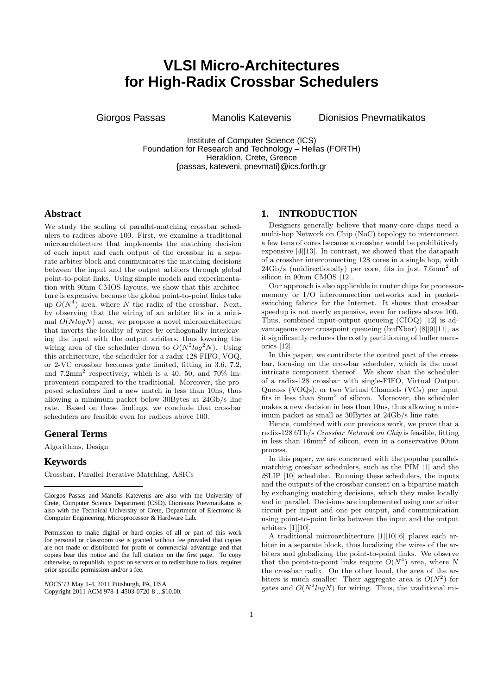# **VLSI Micro-Architectures for High-Radix Crossbar Schedulers**

Giorgos Passas Manolis Katevenis Dionisios Pnevmatikatos

Institute of Computer Science (ICS) Foundation for Research and Technology – Hellas (FORTH) Heraklion, Crete, Greece {passas, kateveni, pnevmati}@ics.forth.gr

# **Abstract**

We study the scaling of parallel-matching crossbar schedulers to radices above 100. First, we examine a traditional microarchitecture that implements the matching decision of each input and each output of the crossbar in a separate arbiter block and communicates the matching decisions between the input and the output arbiters through global point-to-point links. Using simple models and experimentation with 90nm CMOS layouts, we show that this architecture is expensive because the global point-to-point links take up  $O(N^4)$  area, where N the radix of the crossbar. Next, by observing that the wiring of an arbiter fits in a minimal  $O(N \log N)$  area, we propose a novel microarchitecture that inverts the locality of wires by orthogonally interleaving the input with the output arbiters, thus lowering the wiring area of the scheduler down to  $O(N^2 log^2 N)$ . Using this architecture, the scheduler for a radix-128 FIFO, VOQ, or 2-VC crossbar becomes gate limited, fitting in 3.6, 7.2, and  $7.2 \text{mm}^2$  respectively, which is a 40, 50, and  $70\%$  improvement compared to the traditional. Moreover, the proposed schedulers find a new match in less than 10ns, thus allowing a minimum packet below 30Bytes at 24Gb/s line rate. Based on these findings, we conclude that crossbar schedulers are feasible even for radices above 100.

#### **General Terms**

Algorithms, Design

#### **Keywords**

Crossbar, Parallel Iterative Matching, ASICs

*NOCS'11* May 1-4, 2011 Pittsburgh, PA, USA Copyright 2011 ACM 978-1-4503-0720-8 ...\$10.00.

# **1. INTRODUCTION**

Designers generally believe that many-core chips need a multi-hop Network on Chip (NoC) topology to interconnect a few tens of cores because a crossbar would be prohibitively expensive [4][13]. In contrast, we showed that the datapath of a crossbar interconnecting 128 cores in a single hop, with 24Gb/s (unidirectionally) per core, fits in just 7.6mm<sup>2</sup> of silicon in 90nm CMOS [12].

Our approach is also applicable in router chips for processormemory or I/O interconnection networks and in packetswitching fabrics for the Internet. It shows that crossbar speedup is not overly expensive, even for radices above 100. Thus, combined input-output queueing (CIOQ) [12] is advantageous over crosspoint queueing (bufXbar) [8][9][11], as it significantly reduces the costly partitioning of buffer memories [12].

In this paper, we contribute the control part of the crossbar, focusing on the crossbar scheduler, which is the most intricate component thereof. We show that the scheduler of a radix-128 crossbar with single-FIFO, Virtual Output Queues (VOQs), or two Virtual Channels (VCs) per input fits in less than 8mm<sup>2</sup> of silicon. Moreover, the scheduler makes a new decision in less than 10ns, thus allowing a minimum packet as small as 30Bytes at 24Gb/s line rate.

Hence, combined with our previous work, we prove that a radix-128 6Tb/s Crossbar Network on Chip is feasible, fitting in less than 16mm<sup>2</sup> of silicon, even in a conservative 90nm process.

In this paper, we are concerned with the popular parallelmatching crossbar schedulers, such as the PIM [1] and the iSLIP [10] scheduler. Running these schedulers, the inputs and the outputs of the crossbar consent on a bipartite match by exchanging matching decisions, which they make locally and in parallel. Decisions are implemented using one arbiter circuit per input and one per output, and communication using point-to-point links between the input and the output arbiters  $[1][10]$ .

A traditional microarchitecture [1][10][6] places each arbiter in a separate block, thus localizing the wires of the arbiters and globalizing the point-to-point links. We observe that the point-to-point links require  $O(N^4)$  area, where N the crossbar radix. On the other hand, the area of the arbiters is much smaller: Their aggregate area is  $O(N^2)$  for gates and  $O(N^2 log N)$  for wiring. Thus, the traditional mi-

Giorgos Passas and Manolis Katevenis are also with the University of Crete, Computer Science Department (CSD). Dionisios Pnevmatikatos is also with the Technical University of Crete, Department of Electronic & Computer Engineering, Microprocessor & Hardware Lab.

Permission to make digital or hard copies of all or part of this work for personal or classroom use is granted without fee provided that copies are not made or distributed for profit or commercial advantage and that copies bear this notice and the full citation on the first page. To copy otherwise, to republish, to post on servers or to redistribute to lists, requires prior specific permission and/or a fee.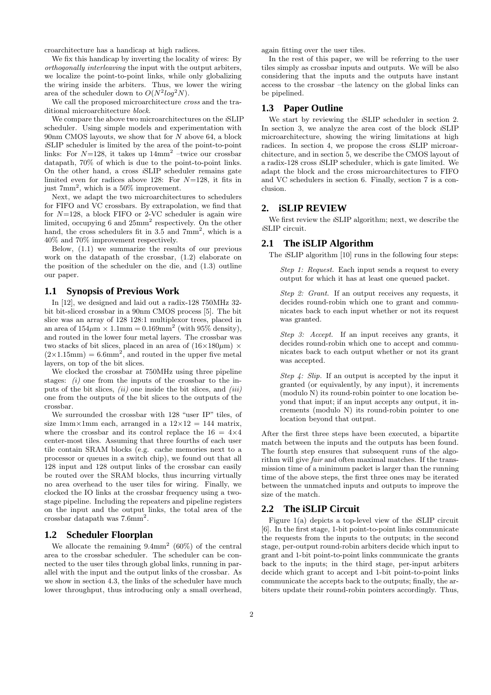croarchitecture has a handicap at high radices.

We fix this handicap by inverting the locality of wires: By orthogonally interleaving the input with the output arbiters, we localize the point-to-point links, while only globalizing the wiring inside the arbiters. Thus, we lower the wiring area of the scheduler down to  $O(N^2 log^2 N)$ .

We call the proposed microarchitecture *cross* and the traditional microarchitecture block.

We compare the above two microarchitectures on the *iSLIP* scheduler. Using simple models and experimentation with  $90<sub>nm</sub>$  CMOS layouts, we show that for N above 64, a block iSLIP scheduler is limited by the area of the point-to-point links: For  $N=128$ , it takes up  $14 \text{mm}^2$  -twice our crossbar datapath, 70% of which is due to the point-to-point links. On the other hand, a cross iSLIP scheduler remains gate limited even for radices above 128: For  $N=128$ , it fits in just 7mm<sup>2</sup> , which is a 50% improvement.

Next, we adapt the two microarchitectures to schedulers for FIFO and VC crossbars. By extrapolation, we find that for  $N=128$ , a block FIFO or 2-VC scheduler is again wire limited, occupying 6 and  $25mm^2$  respectively. On the other hand, the cross schedulers fit in 3.5 and 7mm<sup>2</sup>, which is a 40% and 70% improvement respectively.

Below, (1.1) we summarize the results of our previous work on the datapath of the crossbar, (1.2) elaborate on the position of the scheduler on the die, and (1.3) outline our paper.

#### **1.1 Synopsis of Previous Work**

In [12], we designed and laid out a radix-128 750MHz 32 bit bit-sliced crossbar in a 90nm CMOS process [5]. The bit slice was an array of 128 128:1 multiplexor trees, placed in an area of  $154\mu m \times 1.1$ mm =  $0.169$ mm<sup>2</sup> (with 95% density), and routed in the lower four metal layers. The crossbar was two stacks of bit slices, placed in an area of  $(16\times180\mu m) \times$  $(2 \times 1.15 \text{mm}) = 6.6 \text{mm}^2$ , and routed in the upper five metal layers, on top of the bit slices.

We clocked the crossbar at 750MHz using three pipeline stages:  $(i)$  one from the inputs of the crossbar to the inputs of the bit slices,  $(ii)$  one inside the bit slices, and  $(iii)$ one from the outputs of the bit slices to the outputs of the crossbar.

We surrounded the crossbar with 128 "user IP" tiles, of size 1mm×1mm each, arranged in a  $12\times12 = 144$  matrix, where the crossbar and its control replace the  $16 = 4 \times 4$ center-most tiles. Assuming that three fourths of each user tile contain SRAM blocks (e.g. cache memories next to a processor or queues in a switch chip), we found out that all 128 input and 128 output links of the crossbar can easily be routed over the SRAM blocks, thus incurring virtually no area overhead to the user tiles for wiring. Finally, we clocked the IO links at the crossbar frequency using a twostage pipeline. Including the repeaters and pipeline registers on the input and the output links, the total area of the crossbar datapath was 7.6mm<sup>2</sup> .

#### **1.2 Scheduler Floorplan**

We allocate the remaining  $9.4 \text{mm}^2$  (60%) of the central area to the crossbar scheduler. The scheduler can be connected to the user tiles through global links, running in parallel with the input and the output links of the crossbar. As we show in section 4.3, the links of the scheduler have much lower throughput, thus introducing only a small overhead, again fitting over the user tiles.

In the rest of this paper, we will be referring to the user tiles simply as crossbar inputs and outputs. We will be also considering that the inputs and the outputs have instant access to the crossbar –the latency on the global links can be pipelined.

#### **1.3 Paper Outline**

We start by reviewing the *iSLIP* scheduler in section 2. In section 3, we analyze the area cost of the block iSLIP microarchitecture, showing the wiring limitations at high radices. In section 4, we propose the cross iSLIP microarchitecture, and in section 5, we describe the CMOS layout of a radix-128 cross iSLIP scheduler, which is gate limited. We adapt the block and the cross microarchitectures to FIFO and VC schedulers in section 6. Finally, section 7 is a conclusion.

#### **2. iSLIP REVIEW**

We first review the iSLIP algorithm; next, we describe the iSLIP circuit.

#### **2.1 The iSLIP Algorithm**

The iSLIP algorithm [10] runs in the following four steps:

Step 1: Request. Each input sends a request to every output for which it has at least one queued packet.

Step 2: Grant. If an output receives any requests, it decides round-robin which one to grant and communicates back to each input whether or not its request was granted.

Step 3: Accept. If an input receives any grants, it decides round-robin which one to accept and communicates back to each output whether or not its grant was accepted.

Step 4: Slip. If an output is accepted by the input it granted (or equivalently, by any input), it increments (modulo N) its round-robin pointer to one location beyond that input; if an input accepts any output, it increments (modulo N) its round-robin pointer to one location beyond that output.

After the first three steps have been executed, a bipartite match between the inputs and the outputs has been found. The fourth step ensures that subsequent runs of the algorithm will give fair and often maximal matches. If the transmission time of a minimum packet is larger than the running time of the above steps, the first three ones may be iterated between the unmatched inputs and outputs to improve the size of the match.

# **2.2 The iSLIP Circuit**

Figure 1(a) depicts a top-level view of the *iSLIP* circuit [6]. In the first stage, 1-bit point-to-point links communicate the requests from the inputs to the outputs; in the second stage, per-output round-robin arbiters decide which input to grant and 1-bit point-to-point links communicate the grants back to the inputs; in the third stage, per-input arbiters decide which grant to accept and 1-bit point-to-point links communicate the accepts back to the outputs; finally, the arbiters update their round-robin pointers accordingly. Thus,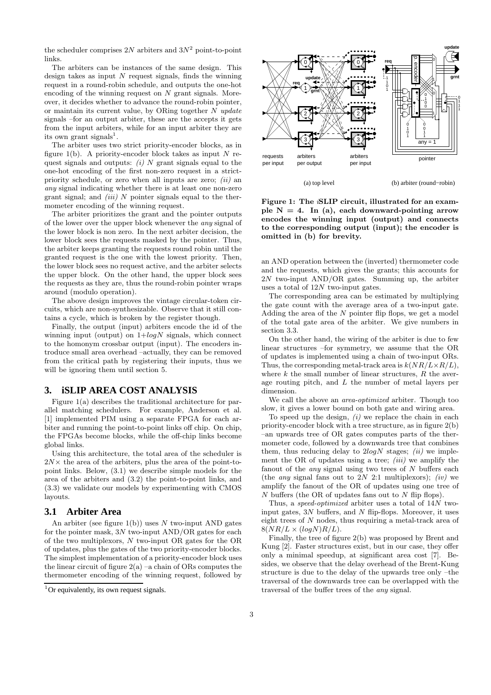the scheduler comprises  $2N$  arbiters and  $3N^2$  point-to-point links.

The arbiters can be instances of the same design. This design takes as input  $N$  request signals, finds the winning request in a round-robin schedule, and outputs the one-hot encoding of the winning request on  $N$  grant signals. Moreover, it decides whether to advance the round-robin pointer, or maintain its current value, by ORing together  $N$  update signals –for an output arbiter, these are the accepts it gets from the input arbiters, while for an input arbiter they are its own grant signals<sup>1</sup>.

The arbiter uses two strict priority-encoder blocks, as in figure 1(b). A priority-encoder block takes as input  $N$  request signals and outputs:  $(i)$  N grant signals equal to the one-hot encoding of the first non-zero request in a strictpriority schedule, or zero when all inputs are zero;  $(ii)$  an any signal indicating whether there is at least one non-zero grant signal; and *(iii)* N pointer signals equal to the thermometer encoding of the winning request.

The arbiter prioritizes the grant and the pointer outputs of the lower over the upper block whenever the any signal of the lower block is non zero. In the next arbiter decision, the lower block sees the requests masked by the pointer. Thus, the arbiter keeps granting the requests round robin until the granted request is the one with the lowest priority. Then, the lower block sees no request active, and the arbiter selects the upper block. On the other hand, the upper block sees the requests as they are, thus the round-robin pointer wraps around (modulo operation).

The above design improves the vintage circular-token circuits, which are non-synthesizable. Observe that it still contains a cycle, which is broken by the register though.

Finally, the output (input) arbiters encode the id of the winning input (output) on  $1+logN$  signals, which connect to the homonym crossbar output (input). The encoders introduce small area overhead –actually, they can be removed from the critical path by registering their inputs, thus we will be ignoring them until section 5.

# **3. iSLIP AREA COST ANALYSIS**

Figure 1(a) describes the traditional architecture for parallel matching schedulers. For example, Anderson et al. [1] implemented PIM using a separate FPGA for each arbiter and running the point-to-point links off chip. On chip, the FPGAs become blocks, while the off-chip links become global links.

Using this architecture, the total area of the scheduler is  $2N\times$  the area of the arbiters, plus the area of the point-topoint links. Below, (3.1) we describe simple models for the area of the arbiters and (3.2) the point-to-point links, and (3.3) we validate our models by experimenting with CMOS layouts.

# **3.1 Arbiter Area**

An arbiter (see figure  $1(b)$ ) uses N two-input AND gates for the pointer mask,  $3N$  two-input  $AND/OR$  gates for each of the two multiplexors, N two-input OR gates for the OR of updates, plus the gates of the two priority-encoder blocks. The simplest implementation of a priority-encoder block uses the linear circuit of figure  $2(a)$  –a chain of ORs computes the thermometer encoding of the winning request, followed by



(a) top level (b) arbiter (round−robin)

Figure 1: The iSLIP circuit, illustrated for an example  $N = 4$ . In (a), each downward-pointing arrow encodes the winning input (output) and connects to the corresponding output (input); the encoder is omitted in (b) for brevity.

an AND operation between the (inverted) thermometer code and the requests, which gives the grants; this accounts for  $2N$  two-input  $AND/OR$  gates. Summing up, the arbiter uses a total of  $12N$  two-input gates.

The corresponding area can be estimated by multiplying the gate count with the average area of a two-input gate. Adding the area of the  $N$  pointer flip flops, we get a model of the total gate area of the arbiter. We give numbers in section 3.3.

On the other hand, the wiring of the arbiter is due to few linear structures –for symmetry, we assume that the OR of updates is implemented using a chain of two-input ORs. Thus, the corresponding metal-track area is  $k(NR/L\times R/L)$ , where  $k$  the small number of linear structures,  $R$  the average routing pitch, and  $L$  the number of metal layers per dimension.

We call the above an area-optimized arbiter. Though too slow, it gives a lower bound on both gate and wiring area.

To speed up the design,  $(i)$  we replace the chain in each priority-encoder block with a tree structure, as in figure 2(b) –an upwards tree of OR gates computes parts of the thermometer code, followed by a downwards tree that combines them, thus reducing delay to  $2logN$  stages; *(ii)* we implement the OR of updates using a tree;  $(iii)$  we amplify the fanout of the *any* signal using two trees of  $N$  buffers each (the *any* signal fans out to  $2N$  2:1 multiplexors); *(iv)* we amplify the fanout of the OR of updates using one tree of  $N$  buffers (the OR of updates fans out to  $N$  flip flops).

Thus, a speed-optimized arbiter uses a total of  $14N$  twoinput gates,  $3N$  buffers, and N flip-flops. Moreover, it uses eight trees of N nodes, thus requiring a metal-track area of  $8(NR/L \times (log N)R/L)$ .

Finally, the tree of figure 2(b) was proposed by Brent and Kung [2]. Faster structures exist, but in our case, they offer only a minimal speedup, at significant area cost [7]. Besides, we observe that the delay overhead of the Brent-Kung structure is due to the delay of the upwards tree only –the traversal of the downwards tree can be overlapped with the traversal of the buffer trees of the any signal.

 $1$ Or equivalently, its own request signals.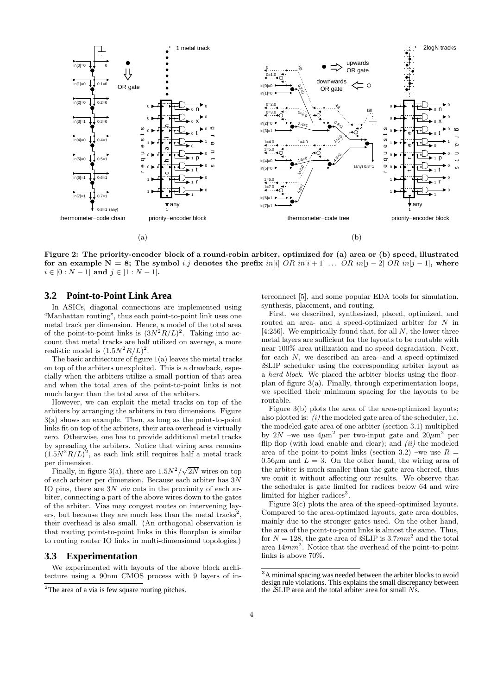

Figure 2: The priority-encoder block of a round-robin arbiter, optimized for (a) area or (b) speed, illustrated for an example N = 8; The symbol i.j denotes the prefix  $in[i]$  OR  $in[i+1]$  ... OR  $in[j-2]$  OR  $in[j-1]$ , where  $i \in [0:N-1]$  and  $j \in [1:N-1]$ .

#### **3.2 Point-to-Point Link Area**

In ASICs, diagonal connections are implemented using "Manhattan routing", thus each point-to-point link uses one metal track per dimension. Hence, a model of the total area of the point-to-point links is  $(3N^2R/L)^2$ . Taking into account that metal tracks are half utilized on average, a more realistic model is  $(1.5N^2R/L)^2$ .

The basic architecture of figure 1(a) leaves the metal tracks on top of the arbiters unexploited. This is a drawback, especially when the arbiters utilize a small portion of that area and when the total area of the point-to-point links is not much larger than the total area of the arbiters.

However, we can exploit the metal tracks on top of the arbiters by arranging the arbiters in two dimensions. Figure 3(a) shows an example. Then, as long as the point-to-point links fit on top of the arbiters, their area overhead is virtually zero. Otherwise, one has to provide additional metal tracks by spreading the arbiters. Notice that wiring area remains  $(1.5N^2R/L)^2$ , as each link still requires half a metal track per dimension.

Finally, in figure 3(a), there are  $1.5N^2/\sqrt{2N}$  wires on top of each arbiter per dimension. Because each arbiter has  $3{\cal N}$ IO pins, there are  $3N$  via cuts in the proximity of each arbiter, connecting a part of the above wires down to the gates of the arbiter. Vias may congest routes on intervening layers, but because they are much less than the metal tracks<sup>2</sup> , their overhead is also small. (An orthogonal observation is that routing point-to-point links in this floorplan is similar to routing router IO links in multi-dimensional topologies.)

#### **3.3 Experimentation**

We experimented with layouts of the above block architecture using a 90nm CMOS process with 9 layers of interconnect [5], and some popular EDA tools for simulation, synthesis, placement, and routing.

First, we described, synthesized, placed, optimized, and routed an area- and a speed-optimized arbiter for N in [4:256]. We empirically found that, for all  $N$ , the lower three metal layers are sufficient for the layouts to be routable with near 100% area utilization and no speed degradation. Next, for each N, we described an area- and a speed-optimized iSLIP scheduler using the corresponding arbiter layout as a hard block. We placed the arbiter blocks using the floorplan of figure 3(a). Finally, through experimentation loops, we specified their minimum spacing for the layouts to be routable.

Figure 3(b) plots the area of the area-optimized layouts; also plotted is:  $(i)$  the modeled gate area of the scheduler, i.e. the modeled gate area of one arbiter (section 3.1) multiplied by 2N –we use  $4\mu$ m<sup>2</sup> per two-input gate and  $20\mu$ m<sup>2</sup> per flip flop (with load enable and clear); and  $(ii)$  the modeled area of the point-to-point links (section 3.2) –we use  $R =$  $0.56\mu$ m and  $L = 3$ . On the other hand, the wiring area of the arbiter is much smaller than the gate area thereof, thus we omit it without affecting our results. We observe that the scheduler is gate limited for radices below 64 and wire limited for higher radices<sup>3</sup>.

Figure 3(c) plots the area of the speed-optimized layouts. Compared to the area-optimized layouts, gate area doubles, mainly due to the stronger gates used. On the other hand, the area of the point-to-point links is almost the same. Thus, for  $N = 128$ , the gate area of *iSLIP* is 3.7mm<sup>2</sup> and the total area  $14mm^2$ . Notice that the overhead of the point-to-point links is above 70%.

<sup>&</sup>lt;sup>2</sup>The area of a via is few square routing pitches.

<sup>&</sup>lt;sup>3</sup>A minimal spacing was needed between the arbiter blocks to avoid design rule violations. This explains the small discrepancy between the  $\overline{\text{sLIP}}$  area and the total arbiter area for small  $N\overline{\text{s}}$ .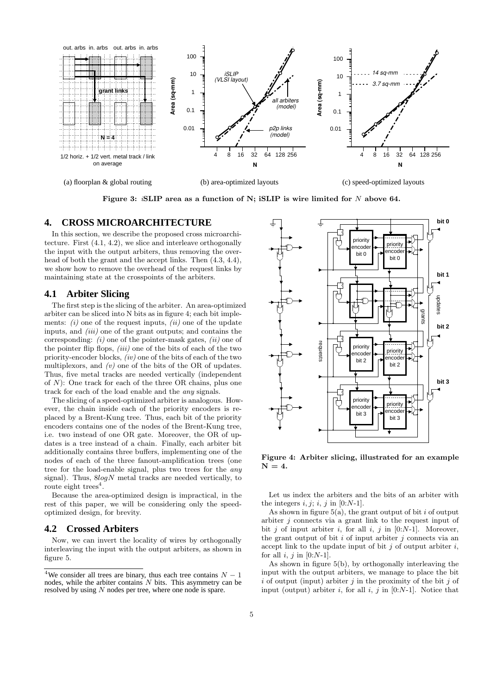

Figure 3: iSLIP area as a function of N; iSLIP is wire limited for N above 64.

#### **4. CROSS MICROARCHITECTURE**

In this section, we describe the proposed cross microarchitecture. First (4.1, 4.2), we slice and interleave orthogonally the input with the output arbiters, thus removing the overhead of both the grant and the accept links. Then  $(4.3, 4.4)$ , we show how to remove the overhead of the request links by maintaining state at the crosspoints of the arbiters.

## **4.1 Arbiter Slicing**

The first step is the slicing of the arbiter. An area-optimized arbiter can be sliced into N bits as in figure 4; each bit implements:  $(i)$  one of the request inputs,  $(ii)$  one of the update inputs, and  $(iii)$  one of the grant outputs; and contains the corresponding:  $(i)$  one of the pointer-mask gates,  $(ii)$  one of the pointer flip flops, (iii) one of the bits of each of the two priority-encoder blocks,  $(iv)$  one of the bits of each of the two multiplexors, and  $(v)$  one of the bits of the OR of updates. Thus, five metal tracks are needed vertically (independent of  $N$ ): One track for each of the three OR chains, plus one track for each of the load enable and the any signals.

The slicing of a speed-optimized arbiter is analogous. However, the chain inside each of the priority encoders is replaced by a Brent-Kung tree. Thus, each bit of the priority encoders contains one of the nodes of the Brent-Kung tree, i.e. two instead of one OR gate. Moreover, the OR of updates is a tree instead of a chain. Finally, each arbiter bit additionally contains three buffers, implementing one of the nodes of each of the three fanout-amplification trees (one tree for the load-enable signal, plus two trees for the any signal). Thus,  $8logN$  metal tracks are needed vertically, to route eight trees<sup>4</sup>.

Because the area-optimized design is impractical, in the rest of this paper, we will be considering only the speedoptimized design, for brevity.

#### **4.2 Crossed Arbiters**

Now, we can invert the locality of wires by orthogonally interleaving the input with the output arbiters, as shown in figure 5.



Figure 4: Arbiter slicing, illustrated for an example  $N = 4.$ 

Let us index the arbiters and the bits of an arbiter with the integers  $i, j; i, j$  in [0:N-1].

As shown in figure  $5(a)$ , the grant output of bit i of output arbiter  $j$  connects via a grant link to the request input of bit j of input arbiter i, for all i, j in  $[0:N-1]$ . Moreover, the grant output of bit  $i$  of input arbiter  $j$  connects via an accept link to the update input of bit  $j$  of output arbiter  $i$ , for all  $i, j$  in [0:N-1].

As shown in figure 5(b), by orthogonally interleaving the input with the output arbiters, we manage to place the bit i of output (input) arbiter j in the proximity of the bit j of input (output) arbiter i, for all i, j in  $[0:N-1]$ . Notice that

<sup>&</sup>lt;sup>4</sup>We consider all trees are binary, thus each tree contains  $N - 1$ nodes, while the arbiter contains  $N$  bits. This asymmetry can be resolved by using N nodes per tree, where one node is spare.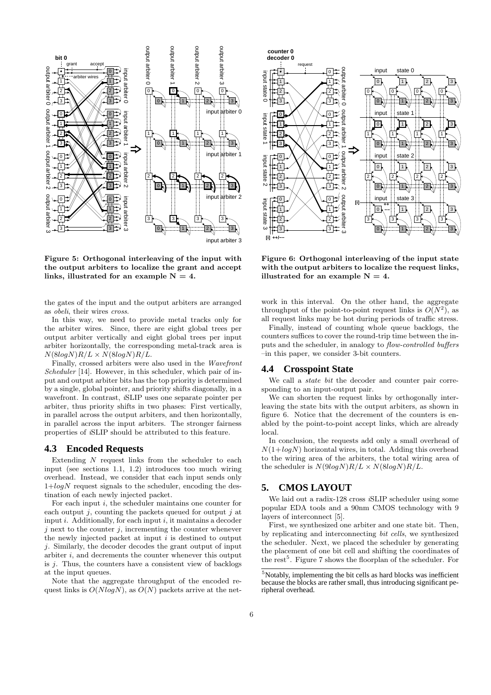

Figure 5: Orthogonal interleaving of the input with the output arbiters to localize the grant and accept links, illustrated for an example  $N = 4$ .

the gates of the input and the output arbiters are arranged as obeli, their wires cross.

In this way, we need to provide metal tracks only for the arbiter wires. Since, there are eight global trees per output arbiter vertically and eight global trees per input arbiter horizontally, the corresponding metal-track area is  $N(8logN)R/L \times N(8logN)R/L$ .

Finally, crossed arbiters were also used in the Wavefront Scheduler [14]. However, in this scheduler, which pair of input and output arbiter bits has the top priority is determined by a single, global pointer, and priority shifts diagonally, in a wavefront. In contrast, *iSLIP* uses one separate pointer per arbiter, thus priority shifts in two phases: First vertically, in parallel across the output arbiters, and then horizontally, in parallel across the input arbiters. The stronger fairness properties of iSLIP should be attributed to this feature.

#### **4.3 Encoded Requests**

Extending  $N$  request links from the scheduler to each input (see sections 1.1, 1.2) introduces too much wiring overhead. Instead, we consider that each input sends only  $1+logN$  request signals to the scheduler, encoding the destination of each newly injected packet.

For each input i, the scheduler maintains one counter for each output *i*, counting the packets queued for output *i* at input  $i$ . Additionally, for each input  $i$ , it maintains a decoder  $j$  next to the counter  $j$ , incrementing the counter whenever the newly injected packet at input  $i$  is destined to output j. Similarly, the decoder decodes the grant output of input arbiter i, and decrements the counter whenever this output is  $j$ . Thus, the counters have a consistent view of backlogs at the input queues.

Note that the aggregate throughput of the encoded request links is  $O(N \log N)$ , as  $O(N)$  packets arrive at the net-



Figure 6: Orthogonal interleaving of the input state with the output arbiters to localize the request links, illustrated for an example  $N = 4$ .

work in this interval. On the other hand, the aggregate throughput of the point-to-point request links is  $O(N^2)$ , as all request links may be hot during periods of traffic stress.

Finally, instead of counting whole queue backlogs, the counters suffices to cover the round-trip time between the inputs and the scheduler, in analogy to flow-controlled buffers –in this paper, we consider 3-bit counters.

# **4.4 Crosspoint State**

We call a *state bit* the decoder and counter pair corresponding to an input-output pair.

We can shorten the request links by orthogonally interleaving the state bits with the output arbiters, as shown in figure 6. Notice that the decrement of the counters is enabled by the point-to-point accept links, which are already local.

In conclusion, the requests add only a small overhead of  $N(1+logN)$  horizontal wires, in total. Adding this overhead to the wiring area of the arbiters, the total wiring area of the scheduler is  $N(9logN)R/L \times N(8logN)R/L$ .

## **5. CMOS LAYOUT**

We laid out a radix-128 cross *iSLIP* scheduler using some popular EDA tools and a 90nm CMOS technology with 9 layers of interconnect [5].

First, we synthesized one arbiter and one state bit. Then, by replicating and interconnecting bit cells, we synthesized the scheduler. Next, we placed the scheduler by generating the placement of one bit cell and shifting the coordinates of the rest<sup>5</sup>. Figure 7 shows the floorplan of the scheduler. For

 $5$ Notably, implementing the bit cells as hard blocks was inefficient because the blocks are rather small, thus introducing significant peripheral overhead.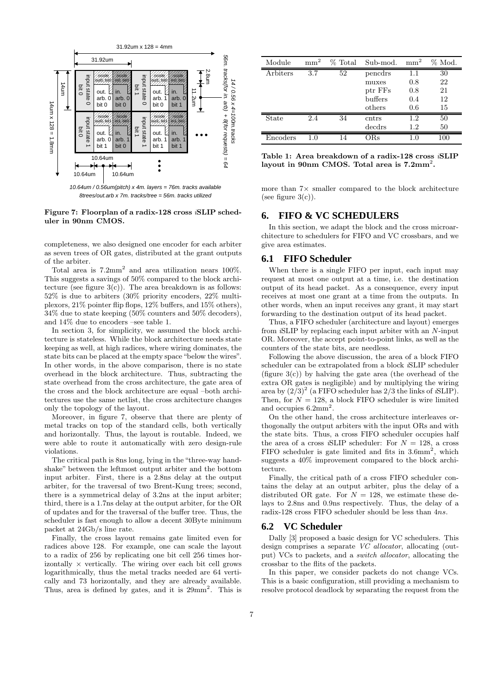

8trees/out.arb x 7m. tracks/tree = 56m. tracks utilized

Figure 7: Floorplan of a radix-128 cross iSLIP scheduler in 90nm CMOS.

completeness, we also designed one encoder for each arbiter as seven trees of OR gates, distributed at the grant outputs of the arbiter.

Total area is  $7.2 \text{mm}^2$  and area utilization nears 100%. This suggests a savings of 50% compared to the block architecture (see figure  $3(c)$ ). The area breakdown is as follows: 52% is due to arbiters (30% priority encoders, 22% multiplexors, 21% pointer flip flops, 12% buffers, and 15% others), 34% due to state keeping (50% counters and 50% decoders), and 14% due to encoders –see table 1.

In section 3, for simplicity, we assumed the block architecture is stateless. While the block architecture needs state keeping as well, at high radices, where wiring dominates, the state bits can be placed at the empty space "below the wires". In other words, in the above comparison, there is no state overhead in the block architecture. Thus, subtracting the state overhead from the cross architecture, the gate area of the cross and the block architecture are equal –both architectures use the same netlist, the cross architecture changes only the topology of the layout.

Moreover, in figure 7, observe that there are plenty of metal tracks on top of the standard cells, both vertically and horizontally. Thus, the layout is routable. Indeed, we were able to route it automatically with zero design-rule violations.

The critical path is 8ns long, lying in the "three-way handshake" between the leftmost output arbiter and the bottom input arbiter. First, there is a 2.8ns delay at the output arbiter, for the traversal of two Brent-Kung trees; second, there is a symmetrical delay of 3.2ns at the input arbiter; third, there is a 1.7ns delay at the output arbiter, for the OR of updates and for the traversal of the buffer tree. Thus, the scheduler is fast enough to allow a decent 30Byte minimum packet at 24Gb/s line rate.

Finally, the cross layout remains gate limited even for radices above 128. For example, one can scale the layout to a radix of 256 by replicating one bit cell 256 times horizontally  $\times$  vertically. The wiring over each bit cell grows logarithmically, thus the metal tracks needed are 64 vertically and 73 horizontally, and they are already available. Thus, area is defined by gates, and it is  $29mm^2$ . This is

| Module   | mm <sup>2</sup> | % Total | Sub-mod.         | mm <sup>2</sup> | %Mod. |
|----------|-----------------|---------|------------------|-----------------|-------|
| Arbiters | 3.7             | 52      | pencdrs          | 1.1             | 30    |
|          |                 |         | muxes            | 0.8             | 22    |
|          |                 |         | ptr FFs          | 0.8             | 21    |
|          |                 |         | buffers          | 0.4             | 12    |
|          |                 |         | others           | 0.6             | 15    |
| State    | 2.4             | 34      | cntrs            | 1.2             | 50    |
|          |                 |         | decdrs           | 1.2             | 50    |
| Encoders | 1 0             | 14      | $\overline{ORs}$ | 1 ∩             | 100   |

Table 1: Area breakdown of a radix-128 cross iSLIP layout in 90nm CMOS. Total area is  $7.2 \text{mm}^2$ .

more than 7× smaller compared to the block architecture (see figure  $3(c)$ ).

# **6. FIFO & VC SCHEDULERS**

In this section, we adapt the block and the cross microarchitecture to schedulers for FIFO and VC crossbars, and we give area estimates.

#### **6.1 FIFO Scheduler**

When there is a single FIFO per input, each input may request at most one output at a time, i.e. the destination output of its head packet. As a consequence, every input receives at most one grant at a time from the outputs. In other words, when an input receives any grant, it may start forwarding to the destination output of its head packet.

Thus, a FIFO scheduler (architecture and layout) emerges from iSLIP by replacing each input arbiter with an N-input OR. Moreover, the accept point-to-point links, as well as the counters of the state bits, are needless.

Following the above discussion, the area of a block FIFO scheduler can be extrapolated from a block iSLIP scheduler (figure  $3(c)$ ) by halving the gate area (the overhead of the extra OR gates is negligible) and by multiplying the wiring area by  $(2/3)^2$  (a FIFO scheduler has  $2/3$  the links of iSLIP). Then, for  $N = 128$ , a block FIFO scheduler is wire limited and occupies  $6.2 \text{mm}^2$ .

On the other hand, the cross architecture interleaves orthogonally the output arbiters with the input ORs and with the state bits. Thus, a cross FIFO scheduler occupies half the area of a cross iSLIP scheduler: For  $N = 128$ , a cross FIFO scheduler is gate limited and fits in  $3.6$ mm<sup>2</sup>, which suggests a 40% improvement compared to the block architecture.

Finally, the critical path of a cross FIFO scheduler contains the delay at an output arbiter, plus the delay of a distributed OR gate. For  $N = 128$ , we estimate these delays to 2.8ns and 0.9ns respectively. Thus, the delay of a radix-128 cross FIFO scheduler should be less than 4ns.

#### **6.2 VC Scheduler**

Dally [3] proposed a basic design for VC schedulers. This design comprises a separate VC allocator, allocating (output) VCs to packets, and a switch allocator, allocating the crossbar to the flits of the packets.

In this paper, we consider packets do not change VCs. This is a basic configuration, still providing a mechanism to resolve protocol deadlock by separating the request from the